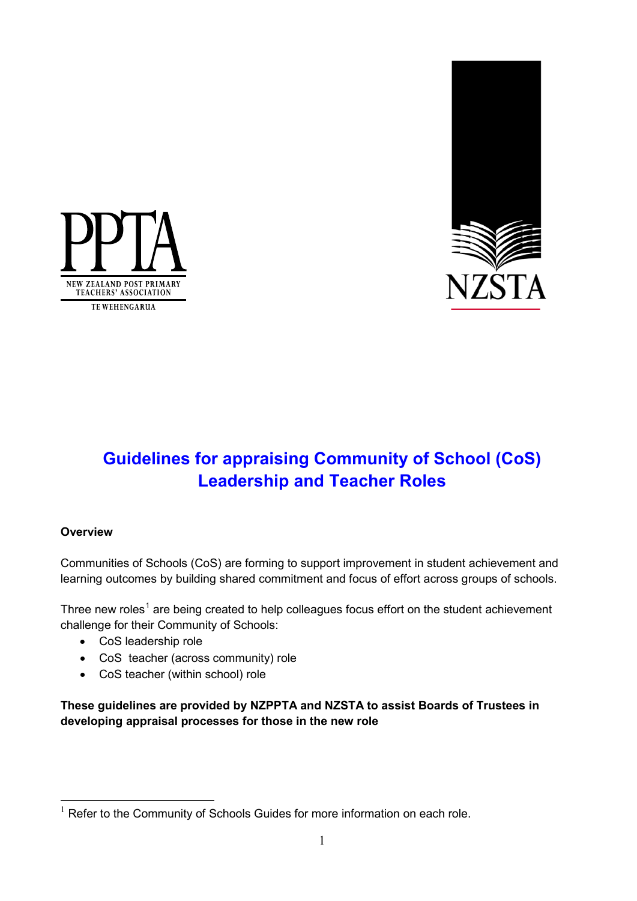



## **Guidelines for appraising Community of School (CoS) Leadership and Teacher Roles**

#### **Overview**

<u>.</u>

Communities of Schools (CoS) are forming to support improvement in student achievement and learning outcomes by building shared commitment and focus of effort across groups of schools.

Three new roles<sup>[1](#page-0-0)</sup> are being created to help colleagues focus effort on the student achievement challenge for their Community of Schools:

- CoS leadership role
- CoS teacher (across community) role
- CoS teacher (within school) role

**These guidelines are provided by NZPPTA and NZSTA to assist Boards of Trustees in developing appraisal processes for those in the new role**

<span id="page-0-0"></span> $1$  Refer to the Community of Schools Guides for more information on each role.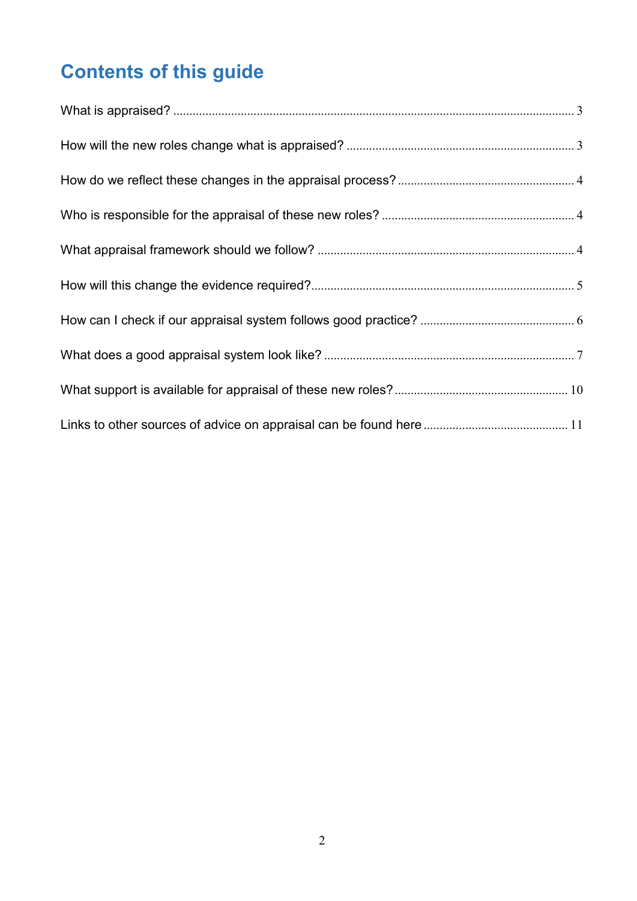# **Contents of this guide**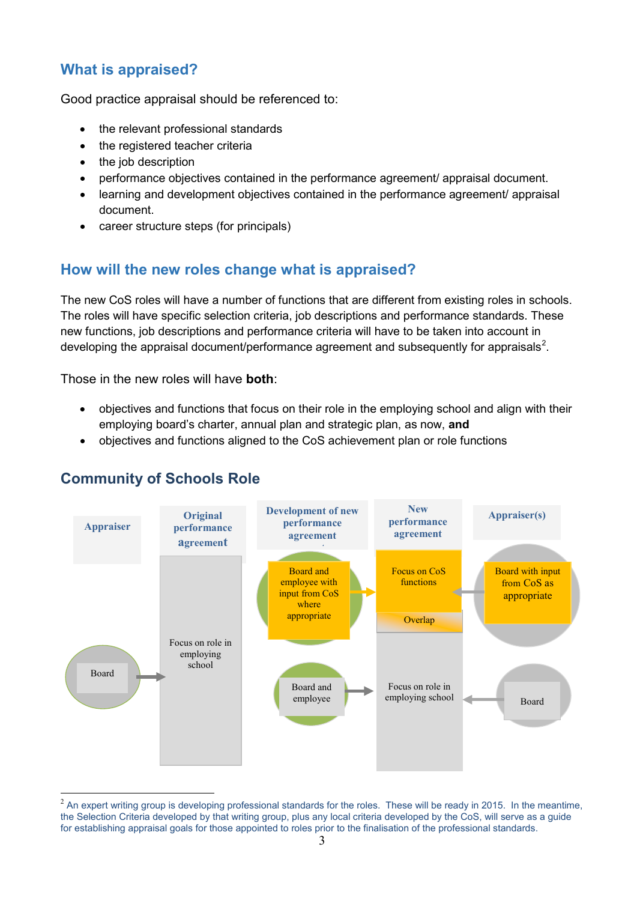## <span id="page-2-0"></span>**What is appraised?**

Good practice appraisal should be referenced to:

- the relevant professional standards
- the registered teacher criteria
- the job description
- performance objectives contained in the performance agreement/ appraisal document.
- learning and development objectives contained in the performance agreement/ appraisal document.
- career structure steps (for principals)

## <span id="page-2-1"></span>**How will the new roles change what is appraised?**

The new CoS roles will have a number of functions that are different from existing roles in schools. The roles will have specific selection criteria, job descriptions and performance standards. These new functions, job descriptions and performance criteria will have to be taken into account in developing the appraisal document/performance agreement and subsequently for appraisals<sup>[2](#page-2-2)</sup>.

Those in the new roles will have **both**:

- objectives and functions that focus on their role in the employing school and align with their employing board's charter, annual plan and strategic plan, as now, **and**
- objectives and functions aligned to the CoS achievement plan or role functions



### **Community of Schools Role**

<span id="page-2-2"></span> $<sup>2</sup>$  An expert writing group is developing professional standards for the roles. These will be ready in 2015. In the meantime,</sup> the Selection Criteria developed by that writing group, plus any local criteria developed by the CoS, will serve as a guide for establishing appraisal goals for those appointed to roles prior to the finalisation of the professional standards.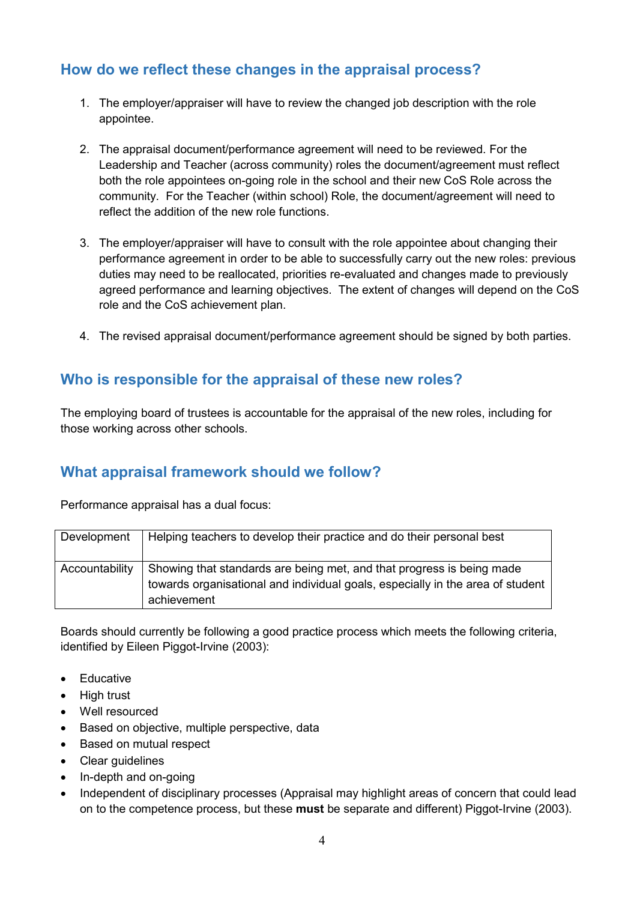## <span id="page-3-0"></span>**How do we reflect these changes in the appraisal process?**

- 1. The employer/appraiser will have to review the changed job description with the role appointee.
- 2. The appraisal document/performance agreement will need to be reviewed. For the Leadership and Teacher (across community) roles the document/agreement must reflect both the role appointees on-going role in the school and their new CoS Role across the community. For the Teacher (within school) Role, the document/agreement will need to reflect the addition of the new role functions.
- 3. The employer/appraiser will have to consult with the role appointee about changing their performance agreement in order to be able to successfully carry out the new roles: previous duties may need to be reallocated, priorities re-evaluated and changes made to previously agreed performance and learning objectives. The extent of changes will depend on the CoS role and the CoS achievement plan.
- 4. The revised appraisal document/performance agreement should be signed by both parties.

## <span id="page-3-1"></span>**Who is responsible for the appraisal of these new roles?**

The employing board of trustees is accountable for the appraisal of the new roles, including for those working across other schools.

## <span id="page-3-2"></span>**What appraisal framework should we follow?**

Performance appraisal has a dual focus:

| Development    | Helping teachers to develop their practice and do their personal best                                                                                                  |
|----------------|------------------------------------------------------------------------------------------------------------------------------------------------------------------------|
| Accountability | Showing that standards are being met, and that progress is being made<br>towards organisational and individual goals, especially in the area of student<br>achievement |

Boards should currently be following a good practice process which meets the following criteria, identified by Eileen Piggot-Irvine (2003):

- Educative
- High trust
- Well resourced
- Based on objective, multiple perspective, data
- Based on mutual respect
- Clear guidelines
- In-depth and on-going
- Independent of disciplinary processes (Appraisal may highlight areas of concern that could lead on to the competence process, but these **must** be separate and different) Piggot-Irvine (2003).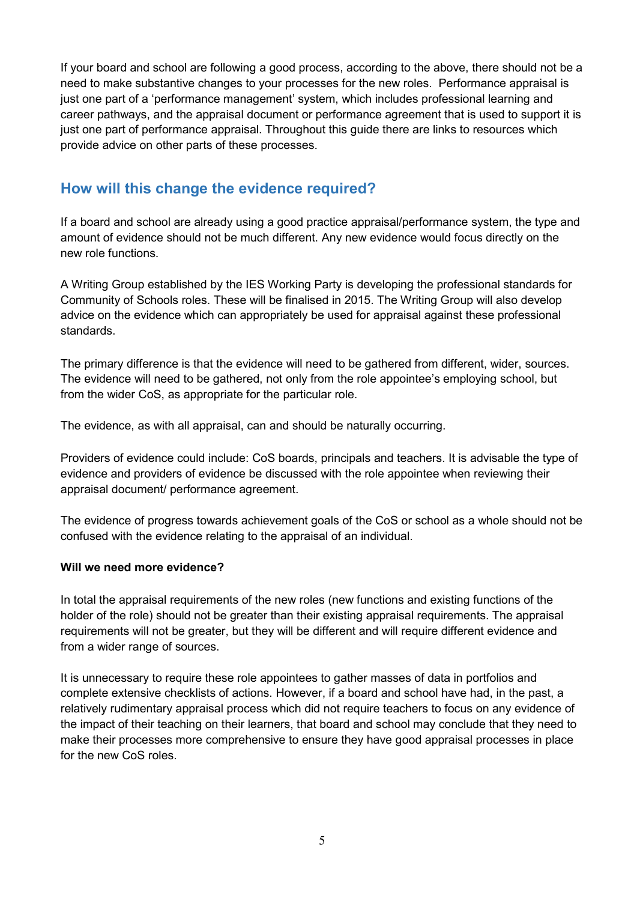If your board and school are following a good process, according to the above, there should not be a need to make substantive changes to your processes for the new roles. Performance appraisal is just one part of a 'performance management' system, which includes professional learning and career pathways, and the appraisal document or performance agreement that is used to support it is just one part of performance appraisal. Throughout this guide there are links to resources which provide advice on other parts of these processes.

## <span id="page-4-0"></span>**How will this change the evidence required?**

If a board and school are already using a good practice appraisal/performance system, the type and amount of evidence should not be much different. Any new evidence would focus directly on the new role functions.

A Writing Group established by the IES Working Party is developing the professional standards for Community of Schools roles. These will be finalised in 2015. The Writing Group will also develop advice on the evidence which can appropriately be used for appraisal against these professional standards.

The primary difference is that the evidence will need to be gathered from different, wider, sources. The evidence will need to be gathered, not only from the role appointee's employing school, but from the wider CoS, as appropriate for the particular role.

The evidence, as with all appraisal, can and should be naturally occurring.

Providers of evidence could include: CoS boards, principals and teachers. It is advisable the type of evidence and providers of evidence be discussed with the role appointee when reviewing their appraisal document/ performance agreement.

The evidence of progress towards achievement goals of the CoS or school as a whole should not be confused with the evidence relating to the appraisal of an individual.

#### **Will we need more evidence?**

In total the appraisal requirements of the new roles (new functions and existing functions of the holder of the role) should not be greater than their existing appraisal requirements. The appraisal requirements will not be greater, but they will be different and will require different evidence and from a wider range of sources.

It is unnecessary to require these role appointees to gather masses of data in portfolios and complete extensive checklists of actions. However, if a board and school have had, in the past, a relatively rudimentary appraisal process which did not require teachers to focus on any evidence of the impact of their teaching on their learners, that board and school may conclude that they need to make their processes more comprehensive to ensure they have good appraisal processes in place for the new CoS roles.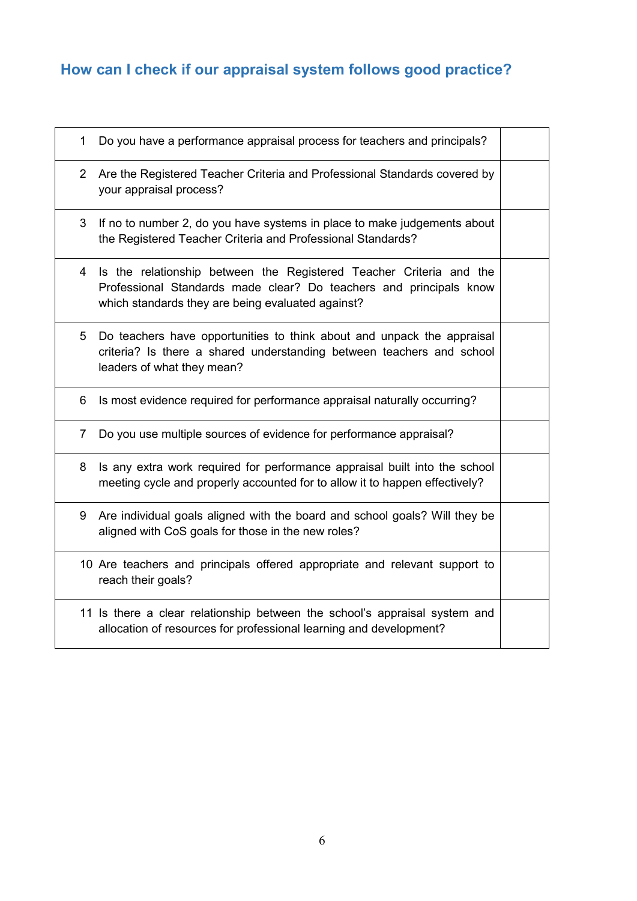## <span id="page-5-0"></span>**How can I check if our appraisal system follows good practice?**

| $\mathbf 1$           | Do you have a performance appraisal process for teachers and principals?                                                                                                                       |  |
|-----------------------|------------------------------------------------------------------------------------------------------------------------------------------------------------------------------------------------|--|
| $\mathbf{2}^{\prime}$ | Are the Registered Teacher Criteria and Professional Standards covered by<br>your appraisal process?                                                                                           |  |
| 3                     | If no to number 2, do you have systems in place to make judgements about<br>the Registered Teacher Criteria and Professional Standards?                                                        |  |
| 4                     | Is the relationship between the Registered Teacher Criteria and the<br>Professional Standards made clear? Do teachers and principals know<br>which standards they are being evaluated against? |  |
| 5                     | Do teachers have opportunities to think about and unpack the appraisal<br>criteria? Is there a shared understanding between teachers and school<br>leaders of what they mean?                  |  |
| 6                     | Is most evidence required for performance appraisal naturally occurring?                                                                                                                       |  |
| 7                     | Do you use multiple sources of evidence for performance appraisal?                                                                                                                             |  |
| 8                     | Is any extra work required for performance appraisal built into the school<br>meeting cycle and properly accounted for to allow it to happen effectively?                                      |  |
| 9                     | Are individual goals aligned with the board and school goals? Will they be<br>aligned with CoS goals for those in the new roles?                                                               |  |
|                       | 10 Are teachers and principals offered appropriate and relevant support to<br>reach their goals?                                                                                               |  |
|                       | 11 Is there a clear relationship between the school's appraisal system and<br>allocation of resources for professional learning and development?                                               |  |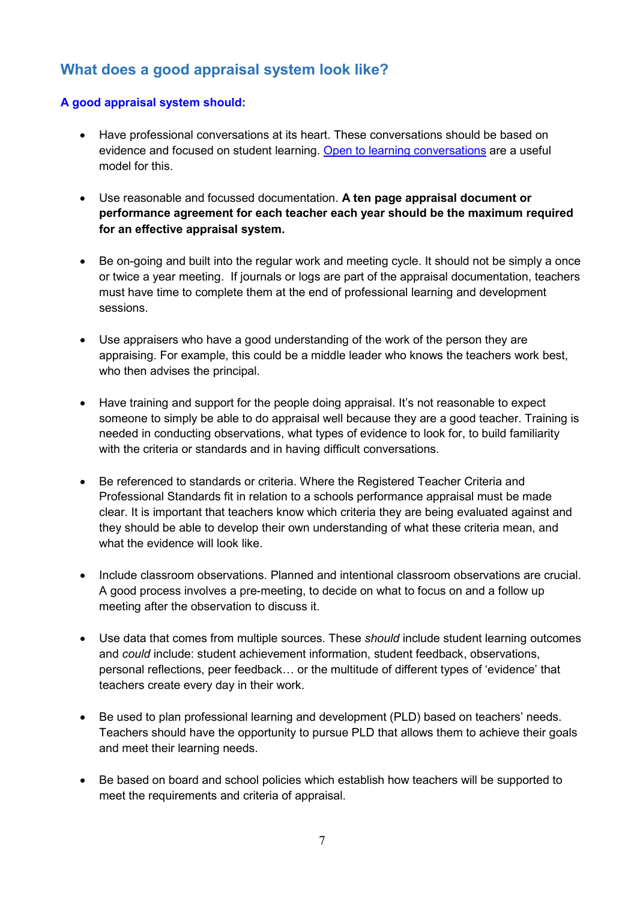## <span id="page-6-0"></span>**What does a good appraisal system look like?**

#### **A good appraisal system should:**

- Have professional conversations at its heart. These conversations should be based on evidence and focused on student learning. [Open to learning conversations](http://www.educationalleaders.govt.nz/Leadership-development/Leadership-programmes/First-time-principals-modules/Module-3-Building-trust) are a useful model for this.
- Use reasonable and focussed documentation. **A ten page appraisal document or performance agreement for each teacher each year should be the maximum required for an effective appraisal system.**
- Be on-going and built into the regular work and meeting cycle. It should not be simply a once or twice a year meeting. If journals or logs are part of the appraisal documentation, teachers must have time to complete them at the end of professional learning and development sessions.
- Use appraisers who have a good understanding of the work of the person they are appraising. For example, this could be a middle leader who knows the teachers work best, who then advises the principal.
- Have training and support for the people doing appraisal. It's not reasonable to expect someone to simply be able to do appraisal well because they are a good teacher. Training is needed in conducting observations, what types of evidence to look for, to build familiarity with the criteria or standards and in having difficult conversations.
- Be referenced to standards or criteria. Where the Registered Teacher Criteria and Professional Standards fit in relation to a schools performance appraisal must be made clear. It is important that teachers know which criteria they are being evaluated against and they should be able to develop their own understanding of what these criteria mean, and what the evidence will look like.
- Include classroom observations. Planned and intentional classroom observations are crucial. A good process involves a pre-meeting, to decide on what to focus on and a follow up meeting after the observation to discuss it.
- Use data that comes from multiple sources. These *should* include student learning outcomes and *could* include: student achievement information, student feedback, observations, personal reflections, peer feedback… or the multitude of different types of 'evidence' that teachers create every day in their work.
- Be used to plan professional learning and development (PLD) based on teachers' needs. Teachers should have the opportunity to pursue PLD that allows them to achieve their goals and meet their learning needs.
- Be based on board and school policies which establish how teachers will be supported to meet the requirements and criteria of appraisal.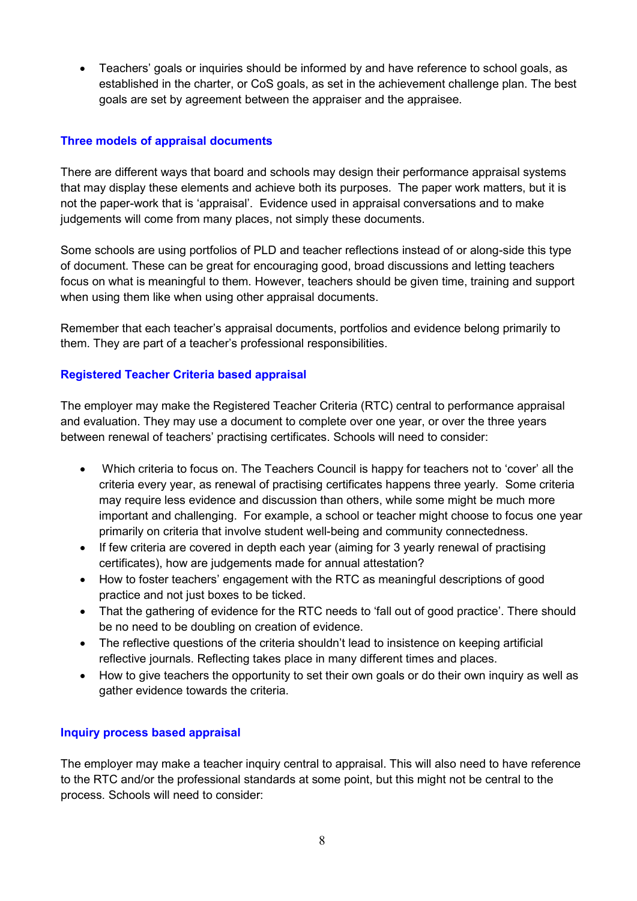• Teachers' goals or inquiries should be informed by and have reference to school goals, as established in the charter, or CoS goals, as set in the achievement challenge plan. The best goals are set by agreement between the appraiser and the appraisee.

#### **Three models of appraisal documents**

There are different ways that board and schools may design their performance appraisal systems that may display these elements and achieve both its purposes. The paper work matters, but it is not the paper-work that is 'appraisal'. Evidence used in appraisal conversations and to make judgements will come from many places, not simply these documents.

Some schools are using portfolios of PLD and teacher reflections instead of or along-side this type of document. These can be great for encouraging good, broad discussions and letting teachers focus on what is meaningful to them. However, teachers should be given time, training and support when using them like when using other appraisal documents.

Remember that each teacher's appraisal documents, portfolios and evidence belong primarily to them. They are part of a teacher's professional responsibilities.

#### **Registered Teacher Criteria based appraisal**

The employer may make the Registered Teacher Criteria (RTC) central to performance appraisal and evaluation. They may use a document to complete over one year, or over the three years between renewal of teachers' practising certificates. Schools will need to consider:

- Which criteria to focus on. The Teachers Council is happy for teachers not to 'cover' all the criteria every year, as renewal of practising certificates happens three yearly. Some criteria may require less evidence and discussion than others, while some might be much more important and challenging. For example, a school or teacher might choose to focus one year primarily on criteria that involve student well-being and community connectedness.
- If few criteria are covered in depth each year (aiming for 3 yearly renewal of practising certificates), how are judgements made for annual attestation?
- How to foster teachers' engagement with the RTC as meaningful descriptions of good practice and not just boxes to be ticked.
- That the gathering of evidence for the RTC needs to 'fall out of good practice'. There should be no need to be doubling on creation of evidence.
- The reflective questions of the criteria shouldn't lead to insistence on keeping artificial reflective journals. Reflecting takes place in many different times and places.
- How to give teachers the opportunity to set their own goals or do their own inquiry as well as gather evidence towards the criteria.

#### **Inquiry process based appraisal**

The employer may make a teacher inquiry central to appraisal. This will also need to have reference to the RTC and/or the professional standards at some point, but this might not be central to the process. Schools will need to consider: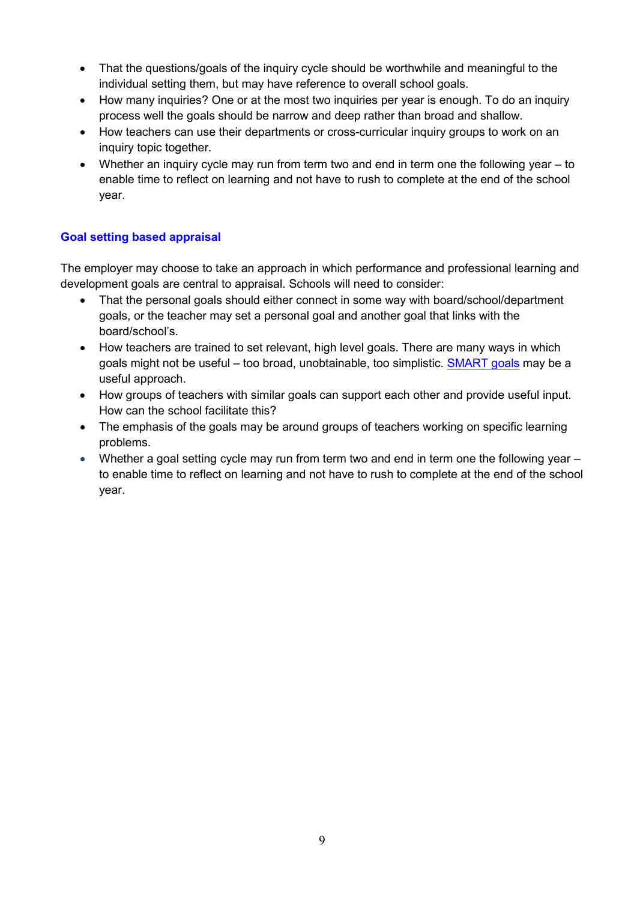- That the questions/goals of the inquiry cycle should be worthwhile and meaningful to the individual setting them, but may have reference to overall school goals.
- How many inquiries? One or at the most two inquiries per year is enough. To do an inquiry process well the goals should be narrow and deep rather than broad and shallow.
- How teachers can use their departments or cross-curricular inquiry groups to work on an inquiry topic together.
- Whether an inquiry cycle may run from term two and end in term one the following year to enable time to reflect on learning and not have to rush to complete at the end of the school year.

#### **Goal setting based appraisal**

The employer may choose to take an approach in which performance and professional learning and development goals are central to appraisal. Schools will need to consider:

- That the personal goals should either connect in some way with board/school/department goals, or the teacher may set a personal goal and another goal that links with the board/school's.
- How teachers are trained to set relevant, high level goals. There are many ways in which goals might not be useful – too broad, unobtainable, too simplistic. [SMART goals](http://tereomaori.tki.org.nz/Teacher-tools/Te-Whakaipurangi-Rauemi/Examples-of-learner-goal-setting) may be a useful approach.
- How groups of teachers with similar goals can support each other and provide useful input. How can the school facilitate this?
- The emphasis of the goals may be around groups of teachers working on specific learning problems.
- Whether a goal setting cycle may run from term two and end in term one the following year to enable time to reflect on learning and not have to rush to complete at the end of the school year.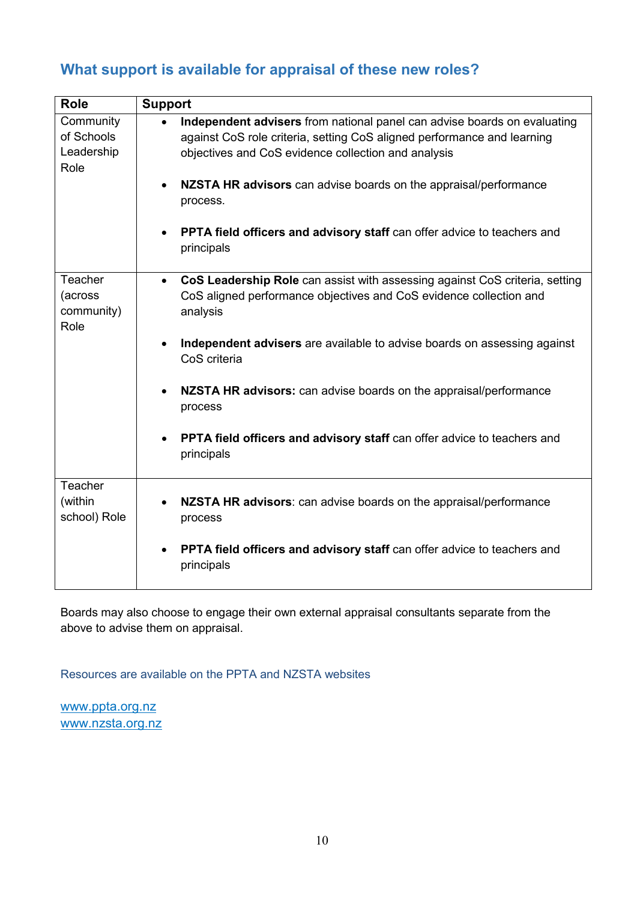## <span id="page-9-0"></span>**What support is available for appraisal of these new roles?**

| <b>Role</b>                                   | <b>Support</b>                                                                                                                                                                                                                                                                 |
|-----------------------------------------------|--------------------------------------------------------------------------------------------------------------------------------------------------------------------------------------------------------------------------------------------------------------------------------|
| Community<br>of Schools<br>Leadership<br>Role | Independent advisers from national panel can advise boards on evaluating<br>against CoS role criteria, setting CoS aligned performance and learning<br>objectives and CoS evidence collection and analysis<br>NZSTA HR advisors can advise boards on the appraisal/performance |
|                                               | process.                                                                                                                                                                                                                                                                       |
|                                               | PPTA field officers and advisory staff can offer advice to teachers and<br>$\bullet$<br>principals                                                                                                                                                                             |
| Teacher<br>(across<br>community)<br>Role      | CoS Leadership Role can assist with assessing against CoS criteria, setting<br>$\bullet$<br>CoS aligned performance objectives and CoS evidence collection and<br>analysis                                                                                                     |
|                                               | Independent advisers are available to advise boards on assessing against<br>CoS criteria                                                                                                                                                                                       |
|                                               | NZSTA HR advisors: can advise boards on the appraisal/performance<br>$\bullet$<br>process                                                                                                                                                                                      |
|                                               | PPTA field officers and advisory staff can offer advice to teachers and<br>principals                                                                                                                                                                                          |
| Teacher<br>(within<br>school) Role            | NZSTA HR advisors: can advise boards on the appraisal/performance<br>process                                                                                                                                                                                                   |
|                                               | PPTA field officers and advisory staff can offer advice to teachers and<br>principals                                                                                                                                                                                          |

Boards may also choose to engage their own external appraisal consultants separate from the above to advise them on appraisal.

Resources are available on the PPTA and NZSTA websites

[www.ppta.org.nz](http://www.ppta.org.nz/) www.nzsta.org.nz